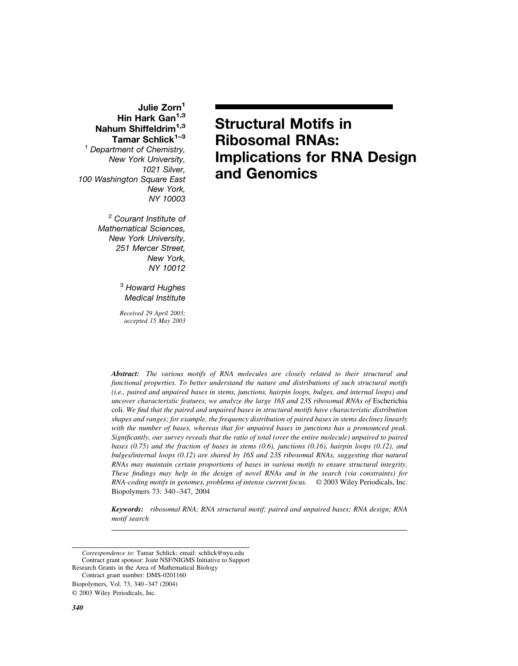# Julie Zorn<sup>1</sup> Hin Hark Gan<sup>1,3</sup> **Nahum Shiffeldrim1,3 Tamar Schlick1–3**

<sup>1</sup> *Department of Chemistry, New York University, 1021 Silver, 100 Washington Square East New York, NY 10003*

> <sup>2</sup> *Courant Institute of Mathematical Sciences, New York University, 251 Mercer Street, New York, NY 10012*

> > <sup>3</sup> *Howard Hughes Medical Institute*

> > *Received 29 April 2003; accepted 15 May 2003*

# **Structural Motifs in Ribosomal RNAs: Implications for RNA Design and Genomics**

*Abstract: The various motifs of RNA molecules are closely related to their structural and functional properties. To better understand the nature and distributions of such structural motifs (i.e., paired and unpaired bases in stems, junctions, hairpin loops, bulges, and internal loops) and uncover characteristic features, we analyze the large 16S and 23S ribosomal RNAs of* Escherichia coli. *We find that the paired and unpaired bases in structural motifs have characteristic distribution shapes and ranges; for example, the frequency distribution of paired bases in stems declines linearly with the number of bases, whereas that for unpaired bases in junctions has a pronounced peak. Significantly, our survey reveals that the ratio of total (over the entire molecule) unpaired to paired bases (0.75) and the fraction of bases in stems (0.6), junctions (0.16), hairpin loops (0.12), and bulges/internal loops (0.12) are shared by 16S and 23S ribosomal RNAs, suggesting that natural RNAs may maintain certain proportions of bases in various motifs to ensure structural integrity. These findings may help in the design of novel RNAs and in the search (via constraints) for RNA-coding motifs in genomes, problems of intense current focus.* © 2003 Wiley Periodicals, Inc. Biopolymers 73: 340 –347, 2004

*Keywords: ribosomal RNA; RNA structural motif; paired and unpaired bases; RNA design; RNA motif search*

*Correspondence to*: Tamar Schlick; email: schlick@nyu.edu Contract grant sponsor: Joint NSF/NIGMS Initiative to Support Research Grants in the Area of Mathematical Biology

Contract grant number: DMS-0201160

Biopolymers, Vol. 73, 340 –347 (2004)

<sup>© 2003</sup> Wiley Periodicals, Inc.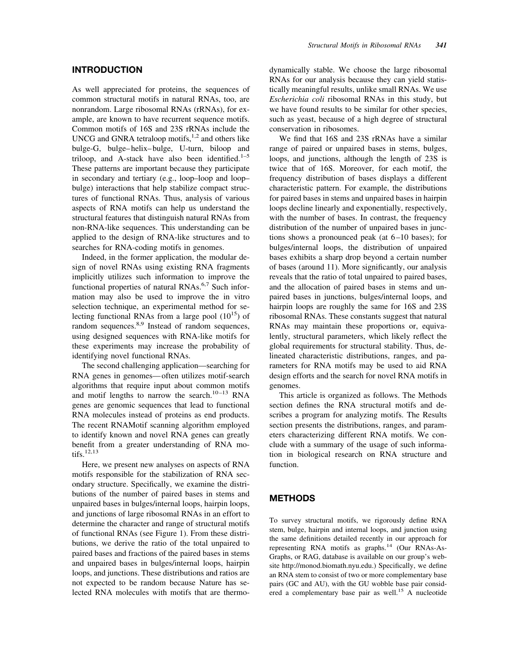As well appreciated for proteins, the sequences of common structural motifs in natural RNAs, too, are nonrandom. Large ribosomal RNAs (rRNAs), for example, are known to have recurrent sequence motifs. Common motifs of 16S and 23S rRNAs include the UNCG and GNRA tetraloop motifs, $1,2$  and others like bulge-G, bulge– helix– bulge, U-turn, biloop and triloop, and A-stack have also been identified. $1-5$ These patterns are important because they participate in secondary and tertiary (e.g., loop–loop and loop– bulge) interactions that help stabilize compact structures of functional RNAs. Thus, analysis of various aspects of RNA motifs can help us understand the structural features that distinguish natural RNAs from non-RNA-like sequences. This understanding can be applied to the design of RNA-like structures and to searches for RNA-coding motifs in genomes.

Indeed, in the former application, the modular design of novel RNAs using existing RNA fragments implicitly utilizes such information to improve the functional properties of natural RNAs.<sup>6,7</sup> Such information may also be used to improve the in vitro selection technique, an experimental method for selecting functional RNAs from a large pool  $(10^{15})$  of random sequences.<sup>8,9</sup> Instead of random sequences, using designed sequences with RNA-like motifs for these experiments may increase the probability of identifying novel functional RNAs.

The second challenging application—searching for RNA genes in genomes— often utilizes motif-search algorithms that require input about common motifs and motif lengths to narrow the search.<sup>10-13</sup> RNA genes are genomic sequences that lead to functional RNA molecules instead of proteins as end products. The recent RNAMotif scanning algorithm employed to identify known and novel RNA genes can greatly benefit from a greater understanding of RNA motifs.12,13

Here, we present new analyses on aspects of RNA motifs responsible for the stabilization of RNA secondary structure. Specifically, we examine the distributions of the number of paired bases in stems and unpaired bases in bulges/internal loops, hairpin loops, and junctions of large ribosomal RNAs in an effort to determine the character and range of structural motifs of functional RNAs (see Figure 1). From these distributions, we derive the ratio of the total unpaired to paired bases and fractions of the paired bases in stems and unpaired bases in bulges/internal loops, hairpin loops, and junctions. These distributions and ratios are not expected to be random because Nature has selected RNA molecules with motifs that are thermodynamically stable. We choose the large ribosomal RNAs for our analysis because they can yield statistically meaningful results, unlike small RNAs. We use *Escherichia coli* ribosomal RNAs in this study, but we have found results to be similar for other species, such as yeast, because of a high degree of structural conservation in ribosomes.

We find that 16S and 23S rRNAs have a similar range of paired or unpaired bases in stems, bulges, loops, and junctions, although the length of 23S is twice that of 16S. Moreover, for each motif, the frequency distribution of bases displays a different characteristic pattern. For example, the distributions for paired bases in stems and unpaired bases in hairpin loops decline linearly and exponentially, respectively, with the number of bases. In contrast, the frequency distribution of the number of unpaired bases in junctions shows a pronounced peak (at  $6-10$  bases); for bulges/internal loops, the distribution of unpaired bases exhibits a sharp drop beyond a certain number of bases (around 11). More significantly, our analysis reveals that the ratio of total unpaired to paired bases, and the allocation of paired bases in stems and unpaired bases in junctions, bulges/internal loops, and hairpin loops are roughly the same for 16S and 23S ribosomal RNAs. These constants suggest that natural RNAs may maintain these proportions or, equivalently, structural parameters, which likely reflect the global requirements for structural stability. Thus, delineated characteristic distributions, ranges, and parameters for RNA motifs may be used to aid RNA design efforts and the search for novel RNA motifs in genomes.

This article is organized as follows. The Methods section defines the RNA structural motifs and describes a program for analyzing motifs. The Results section presents the distributions, ranges, and parameters characterizing different RNA motifs. We conclude with a summary of the usage of such information in biological research on RNA structure and function.

## **METHODS**

To survey structural motifs, we rigorously define RNA stem, bulge, hairpin and internal loops, and junction using the same definitions detailed recently in our approach for representing RNA motifs as graphs. $14$  (Our RNAs-As-Graphs, or RAG, database is available on our group's website http://monod.biomath.nyu.edu.) Specifically, we define an RNA stem to consist of two or more complementary base pairs (GC and AU), with the GU wobble base pair considered a complementary base pair as well.<sup>15</sup> A nucleotide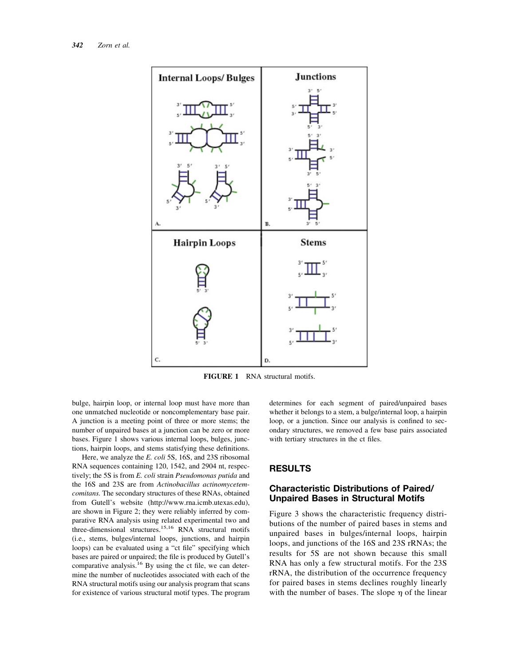

**FIGURE 1** RNA structural motifs.

bulge, hairpin loop, or internal loop must have more than one unmatched nucleotide or noncomplementary base pair. A junction is a meeting point of three or more stems; the number of unpaired bases at a junction can be zero or more bases. Figure 1 shows various internal loops, bulges, junctions, hairpin loops, and stems statisfying these definitions.

Here, we analyze the *E. coli* 5S, 16S, and 23S ribosomal RNA sequences containing 120, 1542, and 2904 nt, respectively; the 5S is from *E. coli* strain *Pseudomonas putida* and the 16S and 23S are from *Actinobacillus actinomycetemcomitans.* The secondary structures of these RNAs, obtained from Gutell's website (http://www.rna.icmb.utexas.edu), are shown in Figure 2; they were reliably inferred by comparative RNA analysis using related experimental two and three-dimensional structures.15,16 RNA structural motifs (i.e., stems, bulges/internal loops, junctions, and hairpin loops) can be evaluated using a "ct file" specifying which bases are paired or unpaired; the file is produced by Gutell's comparative analysis.<sup>16</sup> By using the ct file, we can determine the number of nucleotides associated with each of the RNA structural motifs using our analysis program that scans for existence of various structural motif types. The program determines for each segment of paired/unpaired bases whether it belongs to a stem, a bulge/internal loop, a hairpin loop, or a junction. Since our analysis is confined to secondary structures, we removed a few base pairs associated with tertiary structures in the ct files.

#### **RESULTS**

## **Characteristic Distributions of Paired/ Unpaired Bases in Structural Motifs**

Figure 3 shows the characteristic frequency distributions of the number of paired bases in stems and unpaired bases in bulges/internal loops, hairpin loops, and junctions of the 16S and 23S rRNAs; the results for 5S are not shown because this small RNA has only a few structural motifs. For the 23S rRNA, the distribution of the occurrence frequency for paired bases in stems declines roughly linearly with the number of bases. The slope  $\eta$  of the linear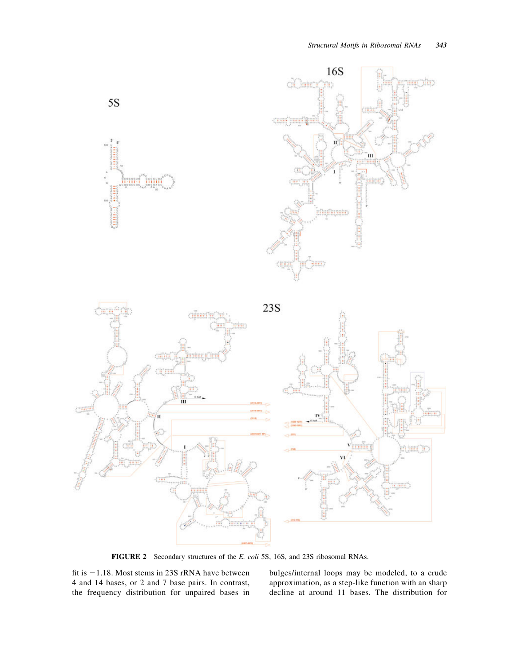

**FIGURE 2** Secondary structures of the *E. coli* 5S, 16S, and 23S ribosomal RNAs.

fit is  $-1.18$ . Most stems in 23S rRNA have between 4 and 14 bases, or 2 and 7 base pairs. In contrast, the frequency distribution for unpaired bases in bulges/internal loops may be modeled, to a crude approximation, as a step-like function with an sharp decline at around 11 bases. The distribution for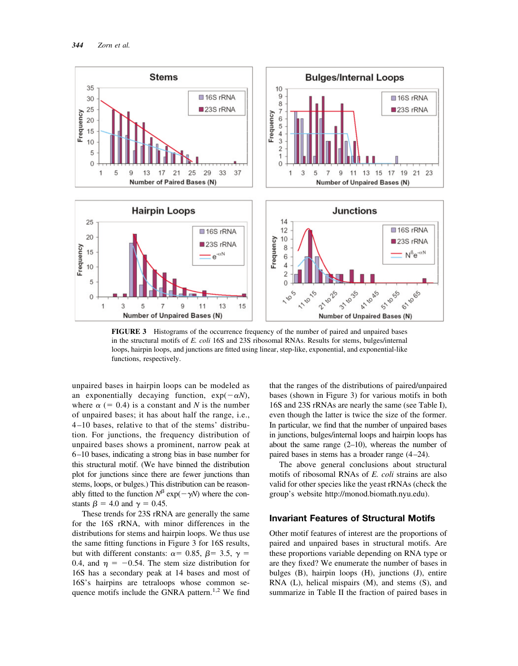

**FIGURE 3** Histograms of the occurrence frequency of the number of paired and unpaired bases in the structural motifs of *E. coli* 16S and 23S ribosomal RNAs. Results for stems, bulges/internal loops, hairpin loops, and junctions are fitted using linear, step-like, exponential, and exponential-like functions, respectively.

unpaired bases in hairpin loops can be modeled as an exponentially decaying function,  $exp(-\alpha N)$ , where  $\alpha$  (= 0.4) is a constant and *N* is the number of unpaired bases; it has about half the range, i.e., 4 –10 bases, relative to that of the stems' distribution. For junctions, the frequency distribution of unpaired bases shows a prominent, narrow peak at 6 –10 bases, indicating a strong bias in base number for this structural motif. (We have binned the distribution plot for junctions since there are fewer junctions than stems, loops, or bulges.) This distribution can be reasonably fitted to the function  $N^{\beta}$  exp( $-\gamma N$ ) where the constants  $\beta = 4.0$  and  $\gamma = 0.45$ .

These trends for 23S rRNA are generally the same for the 16S rRNA, with minor differences in the distributions for stems and hairpin loops. We thus use the same fitting functions in Figure 3 for 16S results, but with different constants:  $\alpha$  = 0.85,  $\beta$  = 3.5,  $\gamma$  = 0.4, and  $\eta = -0.54$ . The stem size distribution for 16S has a secondary peak at 14 bases and most of 16S's hairpins are tetraloops whose common sequence motifs include the GNRA pattern.<sup>1,2</sup> We find that the ranges of the distributions of paired/unpaired bases (shown in Figure 3) for various motifs in both 16S and 23S rRNAs are nearly the same (see Table I), even though the latter is twice the size of the former. In particular, we find that the number of unpaired bases in junctions, bulges/internal loops and hairpin loops has about the same range  $(2-10)$ , whereas the number of paired bases in stems has a broader range  $(4-24)$ .

The above general conclusions about structural motifs of ribosomal RNAs of *E. coli* strains are also valid for other species like the yeast rRNAs (check the group's website http://monod.biomath.nyu.edu).

#### **Invariant Features of Structural Motifs**

Other motif features of interest are the proportions of paired and unpaired bases in structural motifs. Are these proportions variable depending on RNA type or are they fixed? We enumerate the number of bases in bulges (B), hairpin loops (H), junctions (J), entire RNA (L), helical mispairs (M), and stems (S), and summarize in Table II the fraction of paired bases in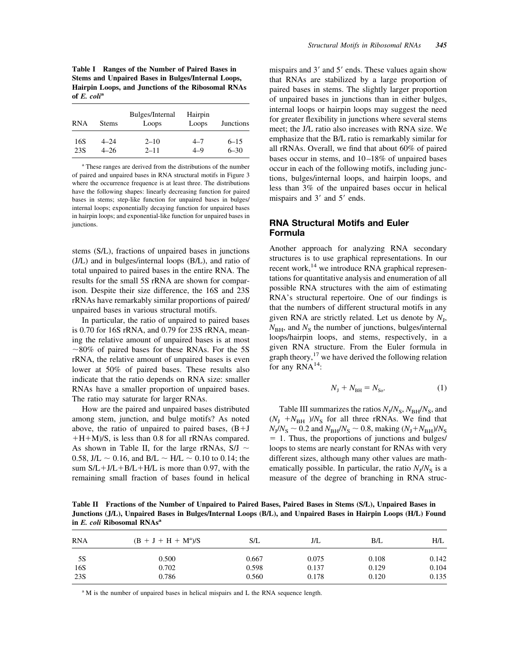**Table I Ranges of the Number of Paired Bases in Stems and Unpaired Bases in Bulges/Internal Loops, Hairpin Loops, and Junctions of the Ribosomal RNAs of** *E. coli***<sup>a</sup>**

| <b>RNA</b> | <b>Stems</b> | Bulges/Internal<br>Loops | Hairpin<br>Loops | <b>Junctions</b> |
|------------|--------------|--------------------------|------------------|------------------|
| 16S        | $4 - 24$     | $2 - 10$                 | $4 - 7$          | $6 - 15$         |
| 23S        | 4–26         | $2 - 11$                 | $4 - 9$          | $6 - 30$         |

<sup>a</sup> These ranges are derived from the distributions of the number of paired and unpaired bases in RNA structural motifs in Figure 3 where the occurrence frequence is at least three. The distributions have the following shapes: linearly decreasing function for paired bases in stems; step-like function for unpaired bases in bulges/ internal loops; exponentially decaying function for unpaired bases in hairpin loops; and exponential-like function for unpaired bases in junctions.

stems (S/L), fractions of unpaired bases in junctions (J/L) and in bulges/internal loops (B/L), and ratio of total unpaired to paired bases in the entire RNA. The results for the small 5S rRNA are shown for comparison. Despite their size difference, the 16S and 23S rRNAs have remarkably similar proportions of paired/ unpaired bases in various structural motifs.

In particular, the ratio of unpaired to paired bases is 0.70 for 16S rRNA, and 0.79 for 23S rRNA, meaning the relative amount of unpaired bases is at most  $\sim$ 80% of paired bases for these RNAs. For the 5S rRNA, the relative amount of unpaired bases is even lower at 50% of paired bases. These results also indicate that the ratio depends on RNA size: smaller RNAs have a smaller proportion of unpaired bases. The ratio may saturate for larger RNAs.

How are the paired and unpaired bases distributed among stem, junction, and bulge motifs? As noted above, the ratio of unpaired to paired bases,  $(B+J)$  $+H+M/S$ , is less than 0.8 for all rRNAs compared. As shown in Table II, for the large rRNAs,  $S/J \sim$ 0.58, J/L  $\sim$  0.16, and B/L  $\sim$  H/L  $\sim$  0.10 to 0.14; the sum  $S/L+J/L+B/L+H/L$  is more than 0.97, with the remaining small fraction of bases found in helical mispairs and  $3'$  and  $5'$  ends. These values again show that RNAs are stabilized by a large proportion of paired bases in stems. The slightly larger proportion of unpaired bases in junctions than in either bulges, internal loops or hairpin loops may suggest the need for greater flexibility in junctions where several stems meet; the J/L ratio also increases with RNA size. We emphasize that the B/L ratio is remarkably similar for all rRNAs. Overall, we find that about 60% of paired bases occur in stems, and  $10-18\%$  of unpaired bases occur in each of the following motifs, including junctions, bulges/internal loops, and hairpin loops, and less than 3% of the unpaired bases occur in helical mispairs and  $3'$  and  $5'$  ends.

## **RNA Structural Motifs and Euler Formula**

Another approach for analyzing RNA secondary structures is to use graphical representations. In our recent work,<sup>14</sup> we introduce RNA graphical representations for quantitative analysis and enumeration of all possible RNA structures with the aim of estimating RNA's structural repertoire. One of our findings is that the numbers of different structural motifs in any given RNA are strictly related. Let us denote by  $N<sub>I</sub>$ ,  $N_{\text{BH}}$ , and  $N_{\text{S}}$  the number of junctions, bulges/internal loops/hairpin loops, and stems, respectively, in a given RNA structure. From the Euler formula in graph theory, $17$  we have derived the following relation for any  $RNA^{14}$ :

$$
N_{\rm J} + N_{\rm BH} = N_{\rm So}.\tag{1}
$$

Table III summarizes the ratios  $N<sub>J</sub>/N<sub>S</sub>$ ,  $N<sub>BH</sub>/N<sub>S</sub>$ , and  $(N_J + N_{BH})/N_S$  for all three rRNAs. We find that  $N_{\rm J}/N_{\rm S} \sim 0.2$  and  $N_{\rm BH}/N_{\rm S} \sim 0.8$ , making  $(N_{\rm J}+N_{\rm BH})/N_{\rm S}$ - 1. Thus, the proportions of junctions and bulges/ loops to stems are nearly constant for RNAs with very different sizes, although many other values are mathematically possible. In particular, the ratio  $N<sub>I</sub>/N<sub>S</sub>$  is a measure of the degree of branching in RNA struc-

**Table II Fractions of the Number of Unpaired to Paired Bases, Paired Bases in Stems (S/L), Unpaired Bases in Junctions (J/L), Unpaired Bases in Bulges/Internal Loops (B/L), and Unpaired Bases in Hairpin Loops (H/L) Found in** *E. coli* **Ribosomal RNAsa**

| <b>RNA</b> | $(B + J + H + M^a)/S$ | S/L   | J/L   | B/L   | H/L   |
|------------|-----------------------|-------|-------|-------|-------|
| 5S         | 0.500                 | 0.667 | 0.075 | 0.108 | 0.142 |
| 16S        | 0.702                 | 0.598 | 0.137 | 0.129 | 0.104 |
| 23S        | 0.786                 | 0.560 | 0.178 | 0.120 | 0.135 |

<sup>a</sup> M is the number of unpaired bases in helical mispairs and L the RNA sequence length.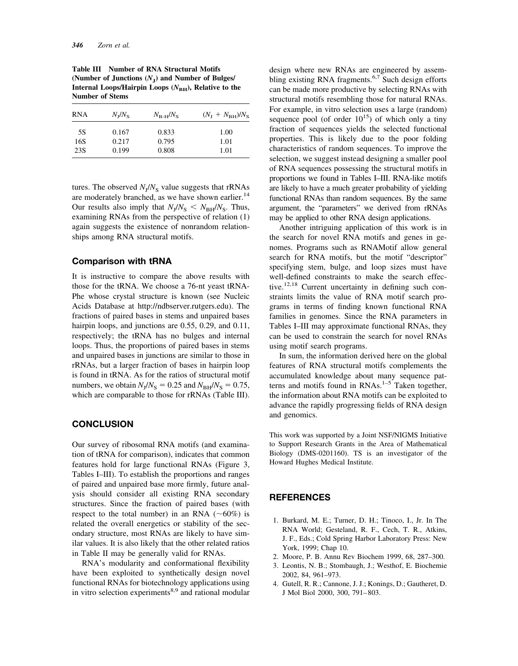| <b>RNA</b> | $N_{\rm I}/N_{\rm S}$ | $N_{\rm B-H}/N_{\rm S}$ | $(N_{\rm I}+N_{\rm BH})/N_{\rm S}$ |
|------------|-----------------------|-------------------------|------------------------------------|
| 5S         | 0.167                 | 0.833                   | 1.00                               |
| 16S        | 0.217                 | 0.795                   | 1.01                               |
| 23S        | 0.199                 | 0.808                   | 1.01                               |

**Table III Number of RNA Structural Motifs (Number of Junctions (***N***J) and Number of Bulges/** Internal Loops/Hairpin Loops ( $N$ <sub>BH</sub>), Relative to the **Number of Stems**

tures. The observed  $N_J/N_S$  value suggests that rRNAs are moderately branched, as we have shown earlier.<sup>14</sup> Our results also imply that  $N_J/N_S < N_{BH}/N_S$ . Thus, examining RNAs from the perspective of relation (1) again suggests the existence of nonrandom relationships among RNA structural motifs.

#### **Comparison with tRNA**

It is instructive to compare the above results with those for the tRNA. We choose a 76-nt yeast tRNA-Phe whose crystal structure is known (see Nucleic Acids Database at http://ndbserver.rutgers.edu). The fractions of paired bases in stems and unpaired bases hairpin loops, and junctions are 0.55, 0.29, and 0.11, respectively; the tRNA has no bulges and internal loops. Thus, the proportions of paired bases in stems and unpaired bases in junctions are similar to those in rRNAs, but a larger fraction of bases in hairpin loop is found in tRNA. As for the ratios of structural motif numbers, we obtain  $N_{\rm J} / N_{\rm S} = 0.25$  and  $N_{\rm BH} / N_{\rm S} = 0.75$ , which are comparable to those for rRNAs (Table III).

#### **CONCLUSION**

Our survey of ribosomal RNA motifs (and examination of tRNA for comparison), indicates that common features hold for large functional RNAs (Figure 3, Tables I–III). To establish the proportions and ranges of paired and unpaired base more firmly, future analysis should consider all existing RNA secondary structures. Since the fraction of paired bases (with respect to the total number) in an RNA  $(\sim 60\%)$  is related the overall energetics or stability of the secondary structure, most RNAs are likely to have similar values. It is also likely that the other related ratios in Table II may be generally valid for RNAs.

RNA's modularity and conformational flexibility have been exploited to synthetically design novel functional RNAs for biotechnology applications using in vitro selection experiments $8,9$  and rational modular design where new RNAs are engineered by assembling existing RNA fragments.<sup>6,7</sup> Such design efforts can be made more productive by selecting RNAs with structural motifs resembling those for natural RNAs. For example, in vitro selection uses a large (random) sequence pool (of order  $10^{15}$ ) of which only a tiny fraction of sequences yields the selected functional properties. This is likely due to the poor folding characteristics of random sequences. To improve the selection, we suggest instead designing a smaller pool of RNA sequences possessing the structural motifs in proportions we found in Tables I–III. RNA-like motifs are likely to have a much greater probability of yielding functional RNAs than random sequences. By the same argument, the "parameters" we derived from rRNAs may be applied to other RNA design applications.

Another intriguing application of this work is in the search for novel RNA motifs and genes in genomes. Programs such as RNAMotif allow general search for RNA motifs, but the motif "descriptor" specifying stem, bulge, and loop sizes must have well-defined constraints to make the search effective.<sup>12,18</sup> Current uncertainty in defining such constraints limits the value of RNA motif search programs in terms of finding known functional RNA families in genomes. Since the RNA parameters in Tables I–III may approximate functional RNAs, they can be used to constrain the search for novel RNAs using motif search programs.

In sum, the information derived here on the global features of RNA structural motifs complements the accumulated knowledge about many sequence patterns and motifs found in  $RNAs$ .<sup>1–5</sup> Taken together, the information about RNA motifs can be exploited to advance the rapidly progressing fields of RNA design and genomics.

This work was supported by a Joint NSF/NIGMS Initiative to Support Research Grants in the Area of Mathematical Biology (DMS-0201160). TS is an investigator of the Howard Hughes Medical Institute.

# **REFERENCES**

- 1. Burkard, M. E.; Turner, D. H.; Tinoco, I., Jr. In The RNA World; Gesteland, R. F., Cech, T. R., Atkins, J. F., Eds.; Cold Spring Harbor Laboratory Press: New York, 1999; Chap 10.
- 2. Moore, P. B. Annu Rev Biochem 1999, 68, 287–300.
- 3. Leontis, N. B.; Stombaugh, J.; Westhof, E. Biochemie 2002, 84, 961–973.
- 4. Gutell, R. R.; Cannone, J. J.; Konings, D.; Gautheret, D. J Mol Biol 2000, 300, 791– 803.